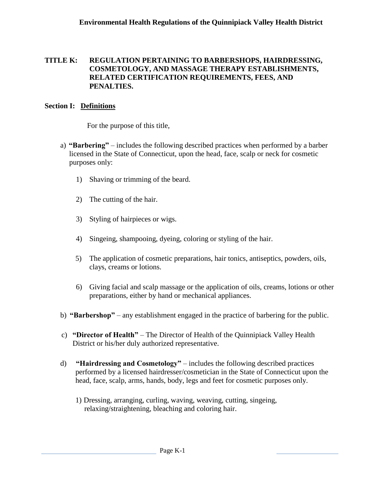#### **TITLE K: REGULATION PERTAINING TO BARBERSHOPS, HAIRDRESSING, COSMETOLOGY, AND MASSAGE THERAPY ESTABLISHMENTS, RELATED CERTIFICATION REQUIREMENTS, FEES, AND PENALTIES.**

#### **Section I: Definitions**

For the purpose of this title,

- a) **"Barbering"**  includes the following described practices when performed by a barber licensed in the State of Connecticut, upon the head, face, scalp or neck for cosmetic purposes only:
	- 1) Shaving or trimming of the beard.
	- 2) The cutting of the hair.
	- 3) Styling of hairpieces or wigs.
	- 4) Singeing, shampooing, dyeing, coloring or styling of the hair.
	- 5) The application of cosmetic preparations, hair tonics, antiseptics, powders, oils, clays, creams or lotions.
	- 6) Giving facial and scalp massage or the application of oils, creams, lotions or other preparations, either by hand or mechanical appliances.
- b) **"Barbershop"** any establishment engaged in the practice of barbering for the public.
- c) **"Director of Health"**  The Director of Health of the Quinnipiack Valley Health District or his/her duly authorized representative.
- d) **"Hairdressing and Cosmetology"**  includes the following described practices performed by a licensed hairdresser/cosmetician in the State of Connecticut upon the head, face, scalp, arms, hands, body, legs and feet for cosmetic purposes only.
	- 1) Dressing, arranging, curling, waving, weaving, cutting, singeing, relaxing/straightening, bleaching and coloring hair.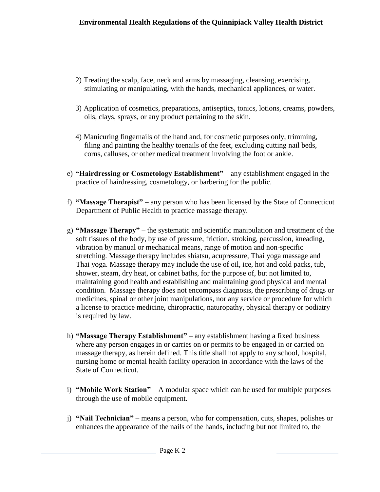- 2) Treating the scalp, face, neck and arms by massaging, cleansing, exercising, stimulating or manipulating, with the hands, mechanical appliances, or water.
- 3) Application of cosmetics, preparations, antiseptics, tonics, lotions, creams, powders, oils, clays, sprays, or any product pertaining to the skin.
- 4) Manicuring fingernails of the hand and, for cosmetic purposes only, trimming, filing and painting the healthy toenails of the feet, excluding cutting nail beds, corns, calluses, or other medical treatment involving the foot or ankle.
- e) **"Hairdressing or Cosmetology Establishment"**  any establishment engaged in the practice of hairdressing, cosmetology, or barbering for the public.
- f) **"Massage Therapist"**  any person who has been licensed by the State of Connecticut Department of Public Health to practice massage therapy.
- g) **"Massage Therapy"**  the systematic and scientific manipulation and treatment of the soft tissues of the body, by use of pressure, friction, stroking, percussion, kneading, vibration by manual or mechanical means, range of motion and non-specific stretching. Massage therapy includes shiatsu, acupressure, Thai yoga massage and Thai yoga. Massage therapy may include the use of oil, ice, hot and cold packs, tub, shower, steam, dry heat, or cabinet baths, for the purpose of, but not limited to, maintaining good health and establishing and maintaining good physical and mental condition. Massage therapy does not encompass diagnosis, the prescribing of drugs or medicines, spinal or other joint manipulations, nor any service or procedure for which a license to practice medicine, chiropractic, naturopathy, physical therapy or podiatry is required by law.
- h) **"Massage Therapy Establishment"**  any establishment having a fixed business where any person engages in or carries on or permits to be engaged in or carried on massage therapy, as herein defined. This title shall not apply to any school, hospital, nursing home or mental health facility operation in accordance with the laws of the State of Connecticut.
- i) **"Mobile Work Station"**  A modular space which can be used for multiple purposes through the use of mobile equipment.
- j) **"Nail Technician"**  means a person, who for compensation, cuts, shapes, polishes or enhances the appearance of the nails of the hands, including but not limited to, the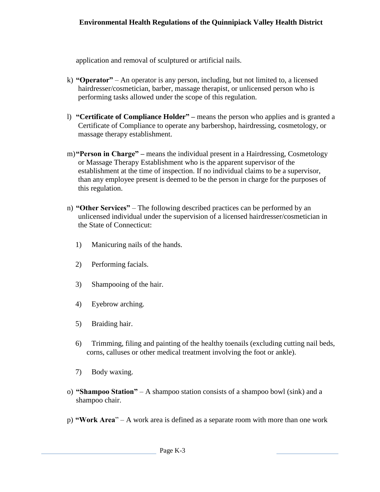application and removal of sculptured or artificial nails.

- k) **"Operator"** An operator is any person, including, but not limited to, a licensed hairdresser/cosmetician, barber, massage therapist, or unlicensed person who is performing tasks allowed under the scope of this regulation.
- l) **"Certificate of Compliance Holder" –** means the person who applies and is granted a Certificate of Compliance to operate any barbershop, hairdressing, cosmetology, or massage therapy establishment.
- m)**"Person in Charge" –** means the individual present in a Hairdressing, Cosmetology or Massage Therapy Establishment who is the apparent supervisor of the establishment at the time of inspection. If no individual claims to be a supervisor, than any employee present is deemed to be the person in charge for the purposes of this regulation.
- n) **"Other Services"** The following described practices can be performed by an unlicensed individual under the supervision of a licensed hairdresser/cosmetician in the State of Connecticut:
	- 1) Manicuring nails of the hands.
	- 2) Performing facials.
	- 3) Shampooing of the hair.
	- 4) Eyebrow arching.
	- 5) Braiding hair.
	- 6) Trimming, filing and painting of the healthy toenails (excluding cutting nail beds, corns, calluses or other medical treatment involving the foot or ankle).
	- 7) Body waxing.
- o) **"Shampoo Station"** A shampoo station consists of a shampoo bowl (sink) and a shampoo chair.
- p) **"Work Area**" A work area is defined as a separate room with more than one work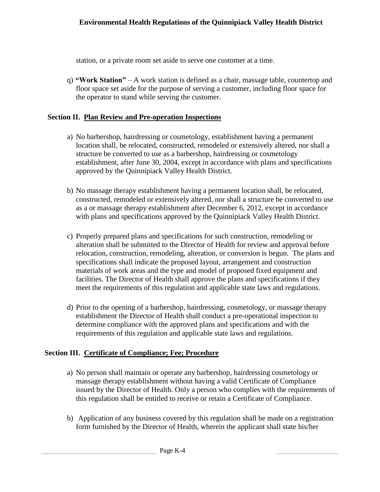station, or a private room set aside to serve one customer at a time.

q) **"Work Station"** – A work station is defined as a chair, massage table, countertop and floor space set aside for the purpose of serving a customer, including floor space for the operator to stand while serving the customer.

#### **Section II. Plan Review and Pre-operation Inspections**

- a) No barbershop, hairdressing or cosmetology, establishment having a permanent location shall, be relocated, constructed, remodeled or extensively altered, nor shall a structure be converted to use as a barbershop, hairdressing or cosmetology establishment, after June 30, 2004, except in accordance with plans and specifications approved by the Quinnipiack Valley Health District.
- b) No massage therapy establishment having a permanent location shall, be relocated, constructed, remodeled or extensively altered, nor shall a structure be converted to use as a or massage therapy establishment after December 6, 2012, except in accordance with plans and specifications approved by the Quinnipiack Valley Health District.
- c) Properly prepared plans and specifications for such construction, remodeling or alteration shall be submitted to the Director of Health for review and approval before relocation, construction, remodeling, alteration, or conversion is begun. The plans and specifications shall indicate the proposed layout, arrangement and construction materials of work areas and the type and model of proposed fixed equipment and facilities. The Director of Health shall approve the plans and specifications if they meet the requirements of this regulation and applicable state laws and regulations.
- d) Prior to the opening of a barbershop, hairdressing, cosmetology, or massage therapy establishment the Director of Health shall conduct a pre-operational inspection to determine compliance with the approved plans and specifications and with the requirements of this regulation and applicable state laws and regulations.

# **Section III. Certificate of Compliance; Fee; Procedure**

- a) No person shall maintain or operate any barbershop, hairdressing cosmetology or massage therapy establishment without having a valid Certificate of Compliance issued by the Director of Health. Only a person who complies with the requirements of this regulation shall be entitled to receive or retain a Certificate of Compliance.
- b) Application of any business covered by this regulation shall be made on a registration form furnished by the Director of Health, wherein the applicant shall state his/her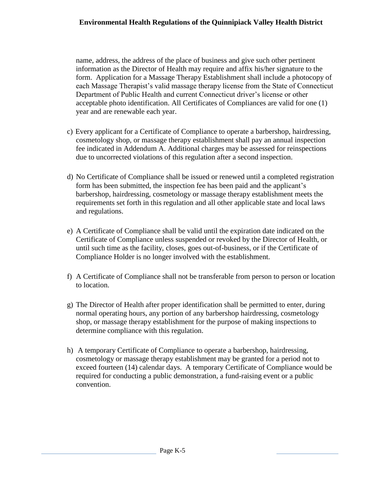name, address, the address of the place of business and give such other pertinent information as the Director of Health may require and affix his/her signature to the form. Application for a Massage Therapy Establishment shall include a photocopy of each Massage Therapist's valid massage therapy license from the State of Connecticut Department of Public Health and current Connecticut driver's license or other acceptable photo identification. All Certificates of Compliances are valid for one (1) year and are renewable each year.

- c) Every applicant for a Certificate of Compliance to operate a barbershop, hairdressing, cosmetology shop, or massage therapy establishment shall pay an annual inspection fee indicated in Addendum A. Additional charges may be assessed for reinspections due to uncorrected violations of this regulation after a second inspection.
- d) No Certificate of Compliance shall be issued or renewed until a completed registration form has been submitted, the inspection fee has been paid and the applicant's barbershop, hairdressing, cosmetology or massage therapy establishment meets the requirements set forth in this regulation and all other applicable state and local laws and regulations.
- e) A Certificate of Compliance shall be valid until the expiration date indicated on the Certificate of Compliance unless suspended or revoked by the Director of Health, or until such time as the facility, closes, goes out-of-business, or if the Certificate of Compliance Holder is no longer involved with the establishment.
- f) A Certificate of Compliance shall not be transferable from person to person or location to location.
- g) The Director of Health after proper identification shall be permitted to enter, during normal operating hours, any portion of any barbershop hairdressing, cosmetology shop, or massage therapy establishment for the purpose of making inspections to determine compliance with this regulation.
- h) A temporary Certificate of Compliance to operate a barbershop, hairdressing, cosmetology or massage therapy establishment may be granted for a period not to exceed fourteen (14) calendar days. A temporary Certificate of Compliance would be required for conducting a public demonstration, a fund-raising event or a public convention.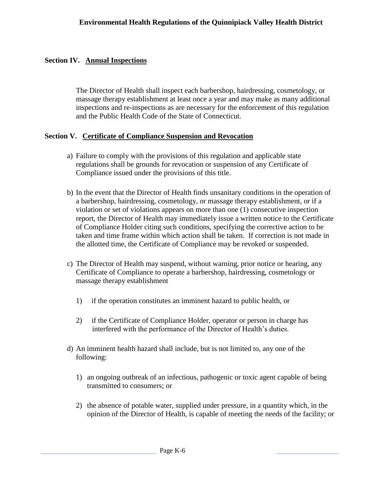# **Section IV. Annual Inspections**

The Director of Health shall inspect each barbershop, hairdressing, cosmetology, or massage therapy establishment at least once a year and may make as many additional inspections and re-inspections as are necessary for the enforcement of this regulation and the Public Health Code of the State of Connecticut.

#### **Section V. Certificate of Compliance Suspension and Revocation**

- a) Failure to comply with the provisions of this regulation and applicable state regulations shall be grounds for revocation or suspension of any Certificate of Compliance issued under the provisions of this title.
- b) In the event that the Director of Health finds unsanitary conditions in the operation of a barbershop, hairdressing, cosmetology, or massage therapy establishment, or if a violation or set of violations appears on more than one (1) consecutive inspection report, the Director of Health may immediately issue a written notice to the Certificate of Compliance Holder citing such conditions, specifying the corrective action to be taken and time frame within which action shall be taken. If correction is not made in the allotted time, the Certificate of Compliance may be revoked or suspended.
- c) The Director of Health may suspend, without warning, prior notice or hearing, any Certificate of Compliance to operate a barbershop, hairdressing, cosmetology or massage therapy establishment
	- 1) if the operation constitutes an imminent hazard to public health, or
	- 2) if the Certificate of Compliance Holder, operator or person in charge has interfered with the performance of the Director of Health's duties.
- d) An imminent health hazard shall include, but is not limited to, any one of the following:
	- 1) an ongoing outbreak of an infectious, pathogenic or toxic agent capable of being transmitted to consumers; or
	- 2) the absence of potable water, supplied under pressure, in a quantity which, in the opinion of the Director of Health, is capable of meeting the needs of the facility; or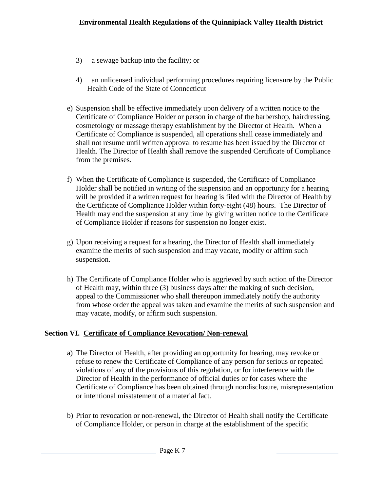- 3) a sewage backup into the facility; or
- 4) an unlicensed individual performing procedures requiring licensure by the Public Health Code of the State of Connecticut
- e) Suspension shall be effective immediately upon delivery of a written notice to the Certificate of Compliance Holder or person in charge of the barbershop, hairdressing, cosmetology or massage therapy establishment by the Director of Health. When a Certificate of Compliance is suspended, all operations shall cease immediately and shall not resume until written approval to resume has been issued by the Director of Health. The Director of Health shall remove the suspended Certificate of Compliance from the premises.
- f) When the Certificate of Compliance is suspended, the Certificate of Compliance Holder shall be notified in writing of the suspension and an opportunity for a hearing will be provided if a written request for hearing is filed with the Director of Health by the Certificate of Compliance Holder within forty-eight (48) hours. The Director of Health may end the suspension at any time by giving written notice to the Certificate of Compliance Holder if reasons for suspension no longer exist.
- g) Upon receiving a request for a hearing, the Director of Health shall immediately examine the merits of such suspension and may vacate, modify or affirm such suspension.
- h) The Certificate of Compliance Holder who is aggrieved by such action of the Director of Health may, within three (3) business days after the making of such decision, appeal to the Commissioner who shall thereupon immediately notify the authority from whose order the appeal was taken and examine the merits of such suspension and may vacate, modify, or affirm such suspension.

# **Section VI. Certificate of Compliance Revocation/ Non-renewal**

- a) The Director of Health, after providing an opportunity for hearing, may revoke or refuse to renew the Certificate of Compliance of any person for serious or repeated violations of any of the provisions of this regulation, or for interference with the Director of Health in the performance of official duties or for cases where the Certificate of Compliance has been obtained through nondisclosure, misrepresentation or intentional misstatement of a material fact.
- b) Prior to revocation or non-renewal, the Director of Health shall notify the Certificate of Compliance Holder, or person in charge at the establishment of the specific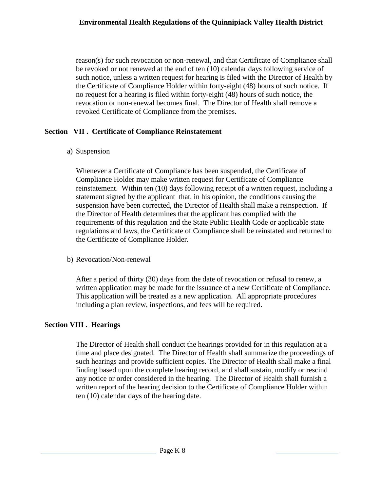reason(s) for such revocation or non-renewal, and that Certificate of Compliance shall be revoked or not renewed at the end of ten (10) calendar days following service of such notice, unless a written request for hearing is filed with the Director of Health by the Certificate of Compliance Holder within forty-eight (48) hours of such notice. If no request for a hearing is filed within forty-eight (48) hours of such notice, the revocation or non-renewal becomes final. The Director of Health shall remove a revoked Certificate of Compliance from the premises.

# **Section VII . Certificate of Compliance Reinstatement**

a) Suspension

Whenever a Certificate of Compliance has been suspended, the Certificate of Compliance Holder may make written request for Certificate of Compliance reinstatement. Within ten (10) days following receipt of a written request, including a statement signed by the applicant that, in his opinion, the conditions causing the suspension have been corrected, the Director of Health shall make a reinspection. If the Director of Health determines that the applicant has complied with the requirements of this regulation and the State Public Health Code or applicable state regulations and laws, the Certificate of Compliance shall be reinstated and returned to the Certificate of Compliance Holder.

b) Revocation/Non-renewal

After a period of thirty (30) days from the date of revocation or refusal to renew, a written application may be made for the issuance of a new Certificate of Compliance. This application will be treated as a new application. All appropriate procedures including a plan review, inspections, and fees will be required.

# **Section VIII . Hearings**

The Director of Health shall conduct the hearings provided for in this regulation at a time and place designated. The Director of Health shall summarize the proceedings of such hearings and provide sufficient copies. The Director of Health shall make a final finding based upon the complete hearing record, and shall sustain, modify or rescind any notice or order considered in the hearing. The Director of Health shall furnish a written report of the hearing decision to the Certificate of Compliance Holder within ten (10) calendar days of the hearing date.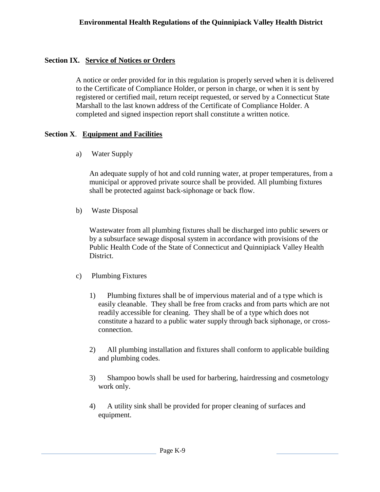# **Section IX. Service of Notices or Orders**

A notice or order provided for in this regulation is properly served when it is delivered to the Certificate of Compliance Holder, or person in charge, or when it is sent by registered or certified mail, return receipt requested, or served by a Connecticut State Marshall to the last known address of the Certificate of Compliance Holder. A completed and signed inspection report shall constitute a written notice.

#### **Section X**. **Equipment and Facilities**

a) Water Supply

An adequate supply of hot and cold running water, at proper temperatures, from a municipal or approved private source shall be provided. All plumbing fixtures shall be protected against back-siphonage or back flow.

b) Waste Disposal

Wastewater from all plumbing fixtures shall be discharged into public sewers or by a subsurface sewage disposal system in accordance with provisions of the Public Health Code of the State of Connecticut and Quinnipiack Valley Health District.

- c) Plumbing Fixtures
	- 1) Plumbing fixtures shall be of impervious material and of a type which is easily cleanable. They shall be free from cracks and from parts which are not readily accessible for cleaning. They shall be of a type which does not constitute a hazard to a public water supply through back siphonage, or crossconnection.
	- 2) All plumbing installation and fixtures shall conform to applicable building and plumbing codes.
	- 3) Shampoo bowls shall be used for barbering, hairdressing and cosmetology work only.
	- 4) A utility sink shall be provided for proper cleaning of surfaces and equipment.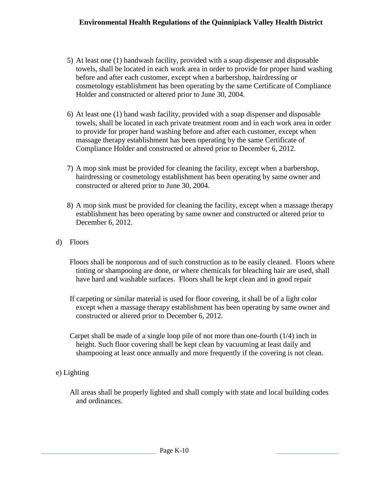# **Environmental Health Regulations of the Quinnipiack Valley Health District**

- 5) At least one (1) handwash facility, provided with a soap dispenser and disposable towels, shall be located in each work area in order to provide for proper hand washing before and after each customer, except when a barbershop, hairdressing or cosmetology establishment has been operating by the same Certificate of Compliance Holder and constructed or altered prior to June 30, 2004.
- 6) At least one (1) hand wash facility, provided with a soap dispenser and disposable towels, shall be located in each private treatment room and in each work area in order to provide for proper hand washing before and after each customer, except when massage therapy establishment has been operating by the same Certificate of Compliance Holder and constructed or altered prior to December 6, 2012.
- 7) A mop sink must be provided for cleaning the facility, except when a barbershop, hairdressing or cosmetology establishment has been operating by same owner and constructed or altered prior to June 30, 2004.
- 8) A mop sink must be provided for cleaning the facility, except when a massage therapy establishment has been operating by same owner and constructed or altered prior to December 6, 2012.
- d) Floors
	- Floors shall be nonporous and of such construction as to be easily cleaned. Floors where tinting or shampooing are done, or where chemicals for bleaching hair are used, shall have hard and washable surfaces. Floors shall be kept clean and in good repair
	- If carpeting or similar material is used for floor covering, it shall be of a light color except when a massage therapy establishment has been operating by same owner and constructed or altered prior to December 6, 2012.
	- Carpet shall be made of a single loop pile of not more than one-fourth (1/4) inch in height. Such floor covering shall be kept clean by vacuuming at least daily and shampooing at least once annually and more frequently if the covering is not clean.
- e) Lighting
	- All areas shall be properly lighted and shall comply with state and local building codes and ordinances.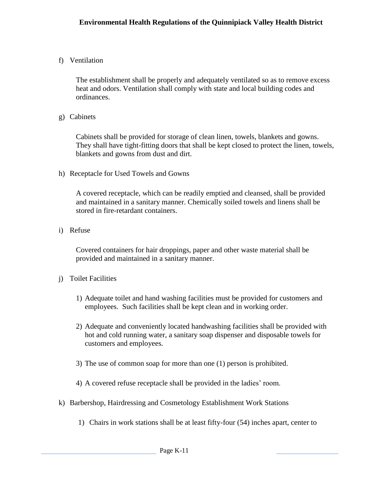# f) Ventilation

The establishment shall be properly and adequately ventilated so as to remove excess heat and odors. Ventilation shall comply with state and local building codes and ordinances.

g) Cabinets

Cabinets shall be provided for storage of clean linen, towels, blankets and gowns. They shall have tight-fitting doors that shall be kept closed to protect the linen, towels, blankets and gowns from dust and dirt.

h) Receptacle for Used Towels and Gowns

A covered receptacle, which can be readily emptied and cleansed, shall be provided and maintained in a sanitary manner. Chemically soiled towels and linens shall be stored in fire-retardant containers.

i) Refuse

Covered containers for hair droppings, paper and other waste material shall be provided and maintained in a sanitary manner.

- j) Toilet Facilities
	- 1) Adequate toilet and hand washing facilities must be provided for customers and employees. Such facilities shall be kept clean and in working order.
	- 2) Adequate and conveniently located handwashing facilities shall be provided with hot and cold running water, a sanitary soap dispenser and disposable towels for customers and employees.
	- 3) The use of common soap for more than one (1) person is prohibited.
	- 4) A covered refuse receptacle shall be provided in the ladies' room.
- k) Barbershop, Hairdressing and Cosmetology Establishment Work Stations
	- 1) Chairs in work stations shall be at least fifty-four (54) inches apart, center to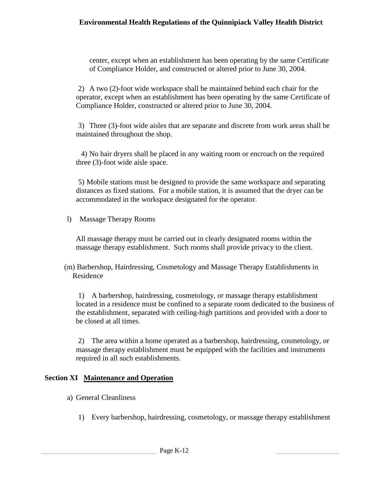#### **Environmental Health Regulations of the Quinnipiack Valley Health District**

center, except when an establishment has been operating by the same Certificate of Compliance Holder, and constructed or altered prior to June 30, 2004.

2) A two (2)-foot wide workspace shall be maintained behind each chair for the operator, except when an establishment has been operating by the same Certificate of Compliance Holder, constructed or altered prior to June 30, 2004.

3) Three (3)-foot wide aisles that are separate and discrete from work areas shall be maintained throughout the shop.

4) No hair dryers shall be placed in any waiting room or encroach on the required three (3)-foot wide aisle space.

5) Mobile stations must be designed to provide the same workspace and separating distances as fixed stations. For a mobile station, it is assumed that the dryer can be accommodated in the workspace designated for the operator.

l) Massage Therapy Rooms

All massage therapy must be carried out in clearly designated rooms within the massage therapy establishment. Such rooms shall provide privacy to the client.

(m) Barbershop, Hairdressing, Cosmetology and Massage Therapy Establishments in Residence

1) A barbershop, hairdressing, cosmetology, or massage therapy establishment located in a residence must be confined to a separate room dedicated to the business of the establishment, separated with ceiling-high partitions and provided with a door to be closed at all times.

2) The area within a home operated as a barbershop, hairdressing, cosmetology, or massage therapy establishment must be equipped with the facilities and instruments required in all such establishments.

# **Section XI Maintenance and Operation**

- a) General Cleanliness
	- 1) Every barbershop, hairdressing, cosmetology, or massage therapy establishment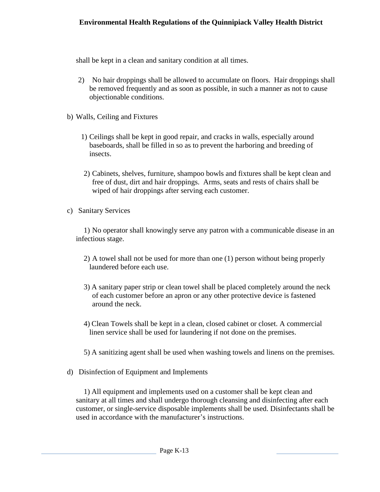shall be kept in a clean and sanitary condition at all times.

- 2) No hair droppings shall be allowed to accumulate on floors. Hair droppings shall be removed frequently and as soon as possible, in such a manner as not to cause objectionable conditions.
- b) Walls, Ceiling and Fixtures
	- 1) Ceilings shall be kept in good repair, and cracks in walls, especially around baseboards, shall be filled in so as to prevent the harboring and breeding of insects.
	- 2) Cabinets, shelves, furniture, shampoo bowls and fixtures shall be kept clean and free of dust, dirt and hair droppings. Arms, seats and rests of chairs shall be wiped of hair droppings after serving each customer.
- c) Sanitary Services

1) No operator shall knowingly serve any patron with a communicable disease in an infectious stage.

- 2) A towel shall not be used for more than one (1) person without being properly laundered before each use.
- 3) A sanitary paper strip or clean towel shall be placed completely around the neck of each customer before an apron or any other protective device is fastened around the neck.
- 4) Clean Towels shall be kept in a clean, closed cabinet or closet. A commercial linen service shall be used for laundering if not done on the premises.
- 5) A sanitizing agent shall be used when washing towels and linens on the premises.
- d) Disinfection of Equipment and Implements

1) All equipment and implements used on a customer shall be kept clean and sanitary at all times and shall undergo thorough cleansing and disinfecting after each customer, or single-service disposable implements shall be used. Disinfectants shall be used in accordance with the manufacturer's instructions.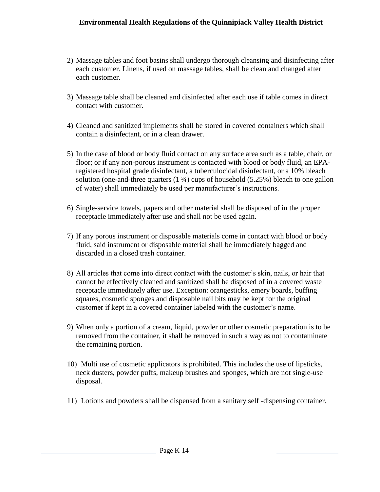- 2) Massage tables and foot basins shall undergo thorough cleansing and disinfecting after each customer. Linens, if used on massage tables, shall be clean and changed after each customer.
- 3) Massage table shall be cleaned and disinfected after each use if table comes in direct contact with customer.
- 4) Cleaned and sanitized implements shall be stored in covered containers which shall contain a disinfectant, or in a clean drawer.
- 5) In the case of blood or body fluid contact on any surface area such as a table, chair, or floor; or if any non-porous instrument is contacted with blood or body fluid, an EPAregistered hospital grade disinfectant, a tuberculocidal disinfectant, or a 10% bleach solution (one-and-three quarters  $(1 \frac{3}{4})$  cups of household  $(5.25\%)$  bleach to one gallon of water) shall immediately be used per manufacturer's instructions.
- 6) Single-service towels, papers and other material shall be disposed of in the proper receptacle immediately after use and shall not be used again.
- 7) If any porous instrument or disposable materials come in contact with blood or body fluid, said instrument or disposable material shall be immediately bagged and discarded in a closed trash container.
- 8) All articles that come into direct contact with the customer's skin, nails, or hair that cannot be effectively cleaned and sanitized shall be disposed of in a covered waste receptacle immediately after use. Exception: orangesticks, emery boards, buffing squares, cosmetic sponges and disposable nail bits may be kept for the original customer if kept in a covered container labeled with the customer's name.
- 9) When only a portion of a cream, liquid, powder or other cosmetic preparation is to be removed from the container, it shall be removed in such a way as not to contaminate the remaining portion.
- 10) Multi use of cosmetic applicators is prohibited. This includes the use of lipsticks, neck dusters, powder puffs, makeup brushes and sponges, which are not single-use disposal.
- 11) Lotions and powders shall be dispensed from a sanitary self -dispensing container.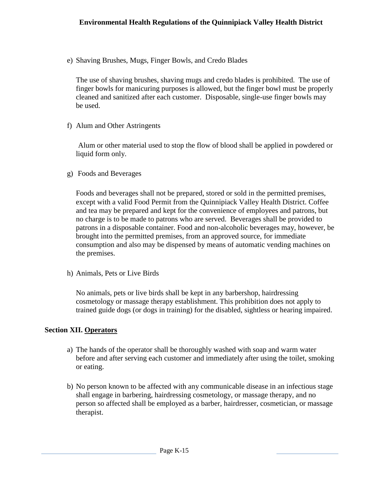e) Shaving Brushes, Mugs, Finger Bowls*,* and Credo Blades

The use of shaving brushes, shaving mugs and credo blades is prohibited. The use of finger bowls for manicuring purposes is allowed, but the finger bowl must be properly cleaned and sanitized after each customer. Disposable, single-use finger bowls may be used.

f) Alum and Other Astringents

Alum or other material used to stop the flow of blood shall be applied in powdered or liquid form only.

g) Foods and Beverages

Foods and beverages shall not be prepared, stored or sold in the permitted premises, except with a valid Food Permit from the Quinnipiack Valley Health District. Coffee and tea may be prepared and kept for the convenience of employees and patrons, but no charge is to be made to patrons who are served. Beverages shall be provided to patrons in a disposable container. Food and non-alcoholic beverages may, however, be brought into the permitted premises, from an approved source, for immediate consumption and also may be dispensed by means of automatic vending machines on the premises.

h) Animals, Pets or Live Birds

No animals, pets or live birds shall be kept in any barbershop, hairdressing cosmetology or massage therapy establishment. This prohibition does not apply to trained guide dogs (or dogs in training) for the disabled, sightless or hearing impaired.

# **Section XII. Operators**

- a) The hands of the operator shall be thoroughly washed with soap and warm water before and after serving each customer and immediately after using the toilet, smoking or eating.
- b) No person known to be affected with any communicable disease in an infectious stage shall engage in barbering, hairdressing cosmetology, or massage therapy, and no person so affected shall be employed as a barber, hairdresser, cosmetician, or massage therapist.